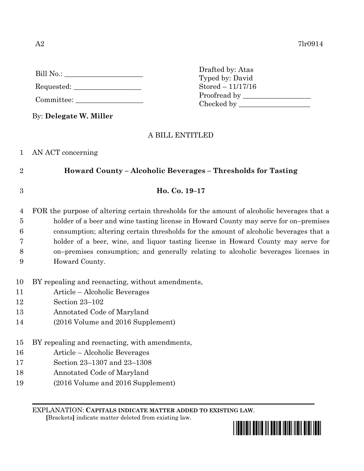| Bill No.: |  |
|-----------|--|
|           |  |

Requested: \_\_\_\_\_\_\_\_\_\_\_\_\_\_\_\_\_\_\_

Committee:

By: **Delegate W. Miller**

## A BILL ENTITLED

## 1 AN ACT concerning

2 **Howard County – Alcoholic Beverages – Thresholds for Tasting**

3 **Ho. Co. 19–17**

 FOR the purpose of altering certain thresholds for the amount of alcoholic beverages that a holder of a beer and wine tasting license in Howard County may serve for on–premises consumption; altering certain thresholds for the amount of alcoholic beverages that a holder of a beer, wine, and liquor tasting license in Howard County may serve for on–premises consumption; and generally relating to alcoholic beverages licenses in Howard County.

10 BY repealing and reenacting, without amendments,

- 11 Article Alcoholic Beverages
- 12 Section 23–102
- 13 Annotated Code of Maryland
- 14 (2016 Volume and 2016 Supplement)
- 15 BY repealing and reenacting, with amendments,
- 16 Article Alcoholic Beverages
- 17 Section 23–1307 and 23–1308
- 18 Annotated Code of Maryland
- 19 (2016 Volume and 2016 Supplement)

EXPLANATION: **CAPITALS INDICATE MATTER ADDED TO EXISTING LAW**.

 **[**Brackets**]** indicate matter deleted from existing law.



Drafted by: Atas Typed by: David Stored – 11/17/16 Proofread by Checked by \_\_\_\_\_\_\_\_\_\_\_\_\_\_\_\_\_\_\_\_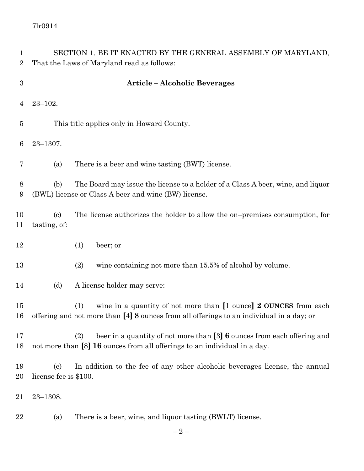7lr0914

| 1<br>$\overline{2}$ | SECTION 1. BE IT ENACTED BY THE GENERAL ASSEMBLY OF MARYLAND,<br>That the Laws of Maryland read as follows:                                    |                                                                                                                                                                           |  |
|---------------------|------------------------------------------------------------------------------------------------------------------------------------------------|---------------------------------------------------------------------------------------------------------------------------------------------------------------------------|--|
|                     |                                                                                                                                                |                                                                                                                                                                           |  |
| $\sqrt{3}$          | <b>Article - Alcoholic Beverages</b>                                                                                                           |                                                                                                                                                                           |  |
| 4                   | $23 - 102.$                                                                                                                                    |                                                                                                                                                                           |  |
| 5                   | This title applies only in Howard County.                                                                                                      |                                                                                                                                                                           |  |
| 6                   | $23 - 1307.$                                                                                                                                   |                                                                                                                                                                           |  |
| 7                   | (a)                                                                                                                                            | There is a beer and wine tasting (BWT) license.                                                                                                                           |  |
| 8<br>9              | The Board may issue the license to a holder of a Class A beer, wine, and liquor<br>(b)<br>(BWL) license or Class A beer and wine (BW) license. |                                                                                                                                                                           |  |
| 10<br>11            | $\left( \mathrm{c}\right)$<br>tasting, of:                                                                                                     | The license authorizes the holder to allow the on-premises consumption, for                                                                                               |  |
| 12                  |                                                                                                                                                | (1)<br>beer; or                                                                                                                                                           |  |
| 13                  |                                                                                                                                                | (2)<br>wine containing not more than 15.5% of alcohol by volume.                                                                                                          |  |
| 14                  | (d)                                                                                                                                            | A license holder may serve:                                                                                                                                               |  |
| 15<br>16            |                                                                                                                                                | wine in a quantity of not more than [1 ounce] 2 OUNCES from each<br>(1)<br>offering and not more than [4] 8 ounces from all offerings to an individual in a day; or       |  |
| 17<br>18            |                                                                                                                                                | beer in a quantity of not more than $\lceil 3 \rceil$ 6 ounces from each offering and<br>(2)<br>not more than [8] 16 ounces from all offerings to an individual in a day. |  |
| 19<br>20            | (e)<br>license fee is \$100.                                                                                                                   | In addition to the fee of any other alcoholic beverages license, the annual                                                                                               |  |
| 21                  | $23 - 1308.$                                                                                                                                   |                                                                                                                                                                           |  |
| 22                  | (a)                                                                                                                                            | There is a beer, wine, and liquor tasting (BWLT) license.                                                                                                                 |  |
|                     |                                                                                                                                                | $-2-$                                                                                                                                                                     |  |